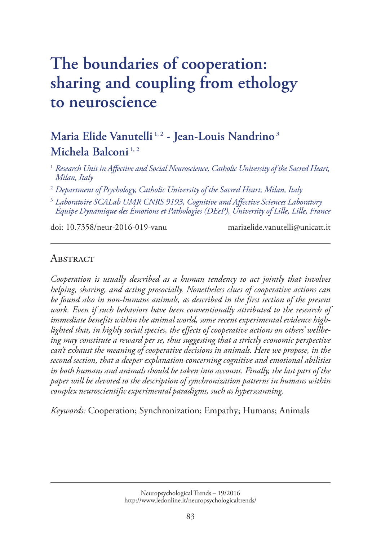# **The boundaries of cooperation: [sharing and coupling from ethology](http://www.ledonline.it/NeuropsychologicalTrends/19-2016.html) to neuroscience**

# **Maria Elide Vanutelli 1, 2 - Jean-Louis Nandrino <sup>3</sup> Michela Balconi 1, 2**

<sup>1</sup> *Research Unit in Affective and Social Neuroscience, Catholic University of the Sacred Heart, Milan, Italy*

<sup>2</sup> *Department of Psychology, Catholic University of the Sacred Heart, Milan, Italy*

<sup>3</sup> *Laboratoire SCALab UMR CNRS 9193, Cognitive and Affective Sciences Laboratory Équipe Dynamique des Émotions et Pathologies (DEeP), University of Lille, Lille, France*

doi: 10.7358/neur-2016-019-vanu mariaelide.vanutelli@unicatt.it

# **ABSTRACT**

*Cooperation is usually described as a human tendency to act jointly that involves helping, sharing, and acting prosocially. Nonetheless clues of cooperative actions can be found also in non-humans animals, as described in the first section of the present*  work. Even if such behaviors have been conventionally attributed to the research of *immediate benefits within the animal world, some recent experimental evidence highlighted that, in highly social species, the effects of cooperative actions on others' wellbeing may constitute a reward per se, thus suggesting that a strictly economic perspective can't exhaust the meaning of cooperative decisions in animals. Here we propose, in the second section, that a deeper explanation concerning cognitive and emotional abilities in both humans and animals should be taken into account. Finally, the last part of the paper will be devoted to the description of synchronization patterns in humans within complex neuroscientific experimental paradigms, such as hyperscanning.* 

*Keywords:* Cooperation; Synchronization; Empathy; Humans; Animals

Neuropsychological Trends – 19/2016 [http://www.ledonline.it/neuropsychologicaltrends/](http://www.ledonline.it/NeuropsychologicalTrends/19-2016.html)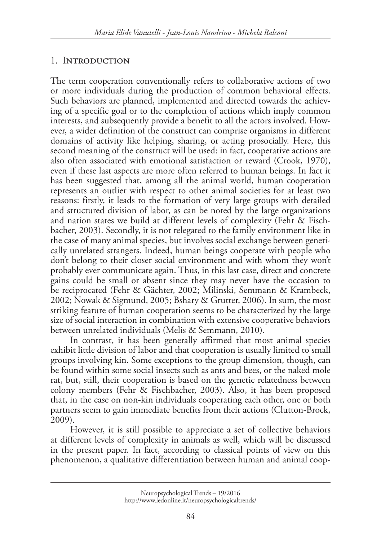# 1. Introduction

The term cooperation conventionally refers to collaborative actions of two or more individuals during the production of common behavioral effects. Such behaviors are planned, implemented and directed towards the achieving of a specific goal or to the completion of actions which imply common interests, and subsequently provide a benefit to all the actors involved. However, a wider definition of the construct can comprise organisms in different domains of activity like helping, sharing, or acting prosocially. Here, this second meaning of the construct will be used: in fact, cooperative actions are also often associated with emotional satisfaction or reward (Crook, 1970), even if these last aspects are more often referred to human beings. In fact it has been suggested that, among all the animal world, human cooperation represents an outlier with respect to other animal societies for at least two reasons: firstly, it leads to the formation of very large groups with detailed and structured division of labor, as can be noted by the large organizations and nation states we build at different levels of complexity (Fehr & Fischbacher, 2003). Secondly, it is not relegated to the family environment like in the case of many animal species, but involves social exchange between genetically unrelated strangers. Indeed, human beings cooperate with people who don't belong to their closer social environment and with whom they won't probably ever communicate again. Thus, in this last case, direct and concrete gains could be small or absent since they may never have the occasion to be reciprocated (Fehr & Gächter, 2002; Milinski, Semmann & Krambeck, 2002; Nowak & Sigmund, 2005; Bshary & Grutter, 2006). In sum, the most striking feature of human cooperation seems to be characterized by the large size of social interaction in combination with extensive cooperative behaviors between unrelated individuals (Melis & Semmann, 2010).

In contrast, it has been generally affirmed that most animal species exhibit little division of labor and that cooperation is usually limited to small groups involving kin. Some exceptions to the group dimension, though, can be found within some social insects such as ants and bees, or the naked mole rat, but, still, their cooperation is based on the genetic relatedness between colony members (Fehr & Fischbacher, 2003). Also, it has been proposed that, in the case on non-kin individuals cooperating each other, one or both partners seem to gain immediate benefits from their actions (Clutton-Brock, 2009).

However, it is still possible to appreciate a set of collective behaviors at different levels of complexity in animals as well, which will be discussed in the present paper. In fact, according to classical points of view on this phenomenon, a qualitative differentiation between human and animal coop-

Neuropsychological Trends – 19/2016 [http://www.ledonline.it/neuropsychologicaltrends/](http://www.ledonline.it/NeuropsychologicalTrends/19-2016.html)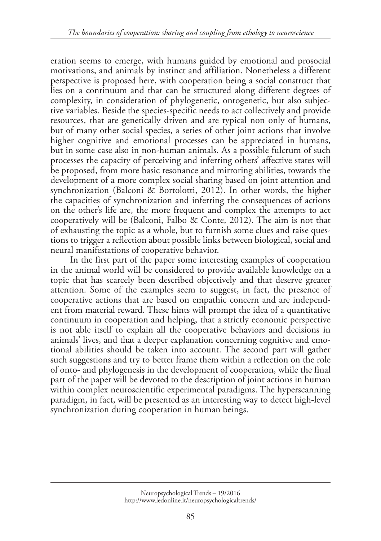eration seems to emerge, with humans guided by emotional and prosocial motivations, and animals by instinct and affiliation. Nonetheless a different perspective is proposed here, with cooperation being a social construct that lies on a continuum and that can be structured along different degrees of complexity, in consideration of phylogenetic, ontogenetic, but also subjective variables. Beside the species-specific needs to act collectively and provide resources, that are genetically driven and are typical non only of humans, but of many other social species, a series of other joint actions that involve higher cognitive and emotional processes can be appreciated in humans, but in some case also in non-human animals. As a possible fulcrum of such processes the capacity of perceiving and inferring others' affective states will be proposed, from more basic resonance and mirroring abilities, towards the development of a more complex social sharing based on joint attention and synchronization (Balconi & Bortolotti, 2012). In other words, the higher the capacities of synchronization and inferring the consequences of actions on the other's life are, the more frequent and complex the attempts to act cooperatively will be (Balconi, Falbo & Conte, 2012). The aim is not that of exhausting the topic as a whole, but to furnish some clues and raise questions to trigger a reflection about possible links between biological, social and neural manifestations of cooperative behavior.

In the first part of the paper some interesting examples of cooperation in the animal world will be considered to provide available knowledge on a topic that has scarcely been described objectively and that deserve greater attention. Some of the examples seem to suggest, in fact, the presence of cooperative actions that are based on empathic concern and are independent from material reward. These hints will prompt the idea of a quantitative continuum in cooperation and helping, that a strictly economic perspective is not able itself to explain all the cooperative behaviors and decisions in animals' lives, and that a deeper explanation concerning cognitive and emotional abilities should be taken into account. The second part will gather such suggestions and try to better frame them within a reflection on the role of onto- and phylogenesis in the development of cooperation, while the final part of the paper will be devoted to the description of joint actions in human within complex neuroscientific experimental paradigms. The hyperscanning paradigm, in fact, will be presented as an interesting way to detect high-level synchronization during cooperation in human beings.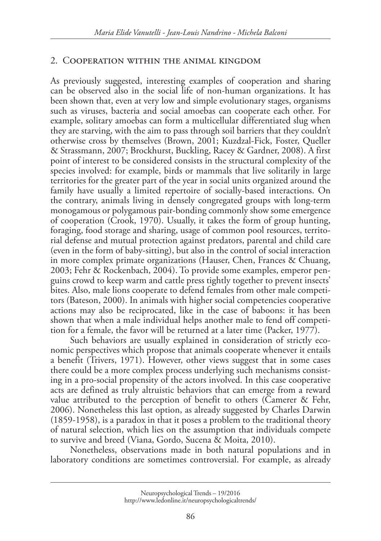#### 2. Cooperation within the animal kingdom

As previously suggested, interesting examples of cooperation and sharing can be observed also in the social life of non-human organizations. It has been shown that, even at very low and simple evolutionary stages, organisms such as viruses, bacteria and social amoebas can cooperate each other. For example, solitary amoebas can form a multicellular differentiated slug when they are starving, with the aim to pass through soil barriers that they couldn't otherwise cross by themselves (Brown, 2001; Kuzdzal-Fick, Foster, Queller & Strassmann, 2007; Brockhurst, Buckling, Racey & Gardner, 2008). A first point of interest to be considered consists in the structural complexity of the species involved: for example, birds or mammals that live solitarily in large territories for the greater part of the year in social units organized around the family have usually a limited repertoire of socially-based interactions. On the contrary, animals living in densely congregated groups with long-term monogamous or polygamous pair-bonding commonly show some emergence of cooperation (Crook, 1970). Usually, it takes the form of group hunting, foraging, food storage and sharing, usage of common pool resources, territorial defense and mutual protection against predators, parental and child care (even in the form of baby-sitting), but also in the control of social interaction in more complex primate organizations (Hauser, Chen, Frances & Chuang, 2003; Fehr & Rockenbach, 2004). To provide some examples, emperor penguins crowd to keep warm and cattle press tightly together to prevent insects' bites. Also, male lions cooperate to defend females from other male competitors (Bateson, 2000). In animals with higher social competencies cooperative actions may also be reciprocated, like in the case of baboons: it has been shown that when a male individual helps another male to fend off competition for a female, the favor will be returned at a later time (Packer, 1977).

Such behaviors are usually explained in consideration of strictly economic perspectives which propose that animals cooperate whenever it entails a benefit (Trivers, 1971). However, other views suggest that in some cases there could be a more complex process underlying such mechanisms consisting in a pro-social propensity of the actors involved. In this case cooperative acts are defined as truly altruistic behaviors that can emerge from a reward value attributed to the perception of benefit to others (Camerer & Fehr, 2006). Nonetheless this last option, as already suggested by Charles Darwin (1859-1958), is a paradox in that it poses a problem to the traditional theory of natural selection, which lies on the assumption that individuals compete to survive and breed (Viana, Gordo, Sucena & Moita, 2010).

Nonetheless, observations made in both natural populations and in laboratory conditions are sometimes controversial. For example, as already

Neuropsychological Trends – 19/2016 [http://www.ledonline.it/neuropsychologicaltrends/](http://www.ledonline.it/NeuropsychologicalTrends/19-2016.html)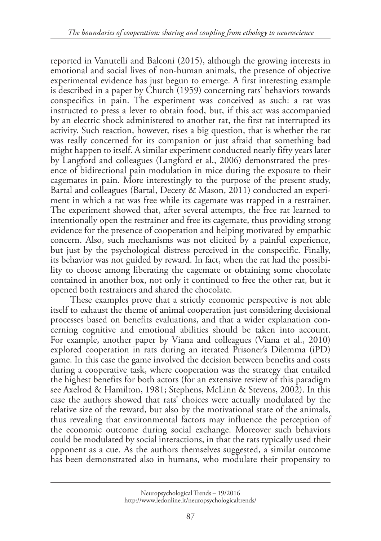reported in Vanutelli and Balconi (2015), although the growing interests in emotional and social lives of non-human animals, the presence of objective experimental evidence has just begun to emerge. A first interesting example is described in a paper by Church (1959) concerning rats' behaviors towards conspecifics in pain. The experiment was conceived as such: a rat was instructed to press a lever to obtain food, but, if this act was accompanied by an electric shock administered to another rat, the first rat interrupted its activity. Such reaction, however, rises a big question, that is whether the rat was really concerned for its companion or just afraid that something bad might happen to itself. A similar experiment conducted nearly fifty years later by Langford and colleagues (Langford et al., 2006) demonstrated the presence of bidirectional pain modulation in mice during the exposure to their cagemates in pain. More interestingly to the purpose of the present study, Bartal and colleagues (Bartal, Decety & Mason, 2011) conducted an experiment in which a rat was free while its cagemate was trapped in a restrainer. The experiment showed that, after several attempts, the free rat learned to intentionally open the restrainer and free its cagemate, thus providing strong evidence for the presence of cooperation and helping motivated by empathic concern. Also, such mechanisms was not elicited by a painful experience, but just by the psychological distress perceived in the conspecific. Finally, its behavior was not guided by reward. In fact, when the rat had the possibility to choose among liberating the cagemate or obtaining some chocolate contained in another box, not only it continued to free the other rat, but it opened both restrainers and shared the chocolate.

These examples prove that a strictly economic perspective is not able itself to exhaust the theme of animal cooperation just considering decisional processes based on benefits evaluations, and that a wider explanation concerning cognitive and emotional abilities should be taken into account. For example, another paper by Viana and colleagues (Viana et al., 2010) explored cooperation in rats during an iterated Prisoner's Dilemma (iPD) game. In this case the game involved the decision between benefits and costs during a cooperative task, where cooperation was the strategy that entailed the highest benefits for both actors (for an extensive review of this paradigm see Axelrod & Hamilton, 1981; Stephens, McLinn & Stevens, 2002). In this case the authors showed that rats' choices were actually modulated by the relative size of the reward, but also by the motivational state of the animals, thus revealing that environmental factors may influence the perception of the economic outcome during social exchange. Moreover such behaviors could be modulated by social interactions, in that the rats typically used their opponent as a cue. As the authors themselves suggested, a similar outcome has been demonstrated also in humans, who modulate their propensity to

Neuropsychological Trends – 19/2016 [http://www.ledonline.it/neuropsychologicaltrends/](http://www.ledonline.it/NeuropsychologicalTrends/19-2016.html)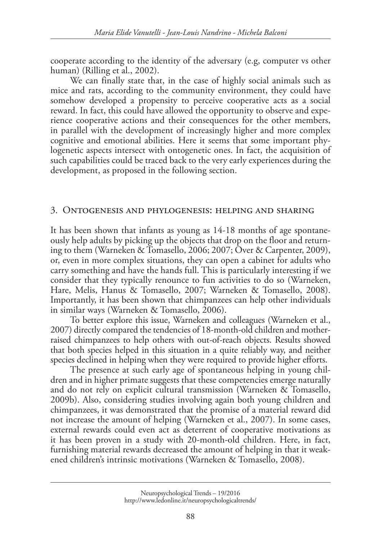cooperate according to the identity of the adversary (e.g, computer vs other human) (Rilling et al., 2002).

We can finally state that, in the case of highly social animals such as mice and rats, according to the community environment, they could have somehow developed a propensity to perceive cooperative acts as a social reward. In fact, this could have allowed the opportunity to observe and experience cooperative actions and their consequences for the other members, in parallel with the development of increasingly higher and more complex cognitive and emotional abilities. Here it seems that some important phylogenetic aspects intersect with ontogenetic ones. In fact, the acquisition of such capabilities could be traced back to the very early experiences during the development, as proposed in the following section.

#### 3. Ontogenesis and phylogenesis: helping and sharing

It has been shown that infants as young as 14-18 months of age spontaneously help adults by picking up the objects that drop on the floor and returning to them (Warneken & Tomasello, 2006; 2007; Over & Carpenter, 2009), or, even in more complex situations, they can open a cabinet for adults who carry something and have the hands full. This is particularly interesting if we consider that they typically renounce to fun activities to do so (Warneken, Hare, Melis, Hanus & Tomasello, 2007; Warneken & Tomasello, 2008). Importantly, it has been shown that chimpanzees can help other individuals in similar ways (Warneken & Tomasello, 2006).

To better explore this issue, Warneken and colleagues (Warneken et al., 2007) directly compared the tendencies of 18-month-old children and motherraised chimpanzees to help others with out-of-reach objects. Results showed that both species helped in this situation in a quite reliably way, and neither species declined in helping when they were required to provide higher efforts.

The presence at such early age of spontaneous helping in young children and in higher primate suggests that these competencies emerge naturally and do not rely on explicit cultural transmission (Warneken & Tomasello, 2009b). Also, considering studies involving again both young children and chimpanzees, it was demonstrated that the promise of a material reward did not increase the amount of helping (Warneken et al., 2007). In some cases, external rewards could even act as deterrent of cooperative motivations as it has been proven in a study with 20-month-old children. Here, in fact, furnishing material rewards decreased the amount of helping in that it weakened children's intrinsic motivations (Warneken & Tomasello, 2008).

Neuropsychological Trends – 19/2016 [http://www.ledonline.it/neuropsychologicaltrends/](http://www.ledonline.it/NeuropsychologicalTrends/19-2016.html)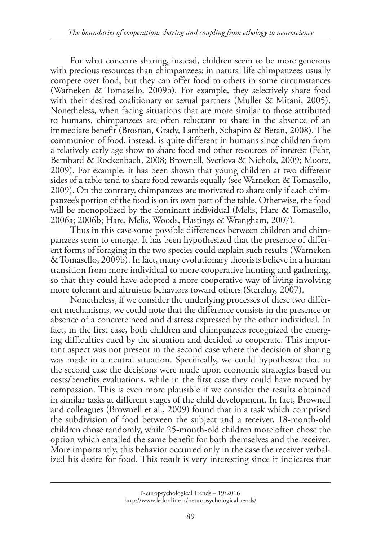For what concerns sharing, instead, children seem to be more generous with precious resources than chimpanzees: in natural life chimpanzees usually compete over food, but they can offer food to others in some circumstances (Warneken & Tomasello, 2009b). For example, they selectively share food with their desired coalitionary or sexual partners (Muller & Mitani, 2005). Nonetheless, when facing situations that are more similar to those attributed to humans, chimpanzees are often reluctant to share in the absence of an immediate benefit (Brosnan, Grady, Lambeth, Schapiro & Beran, 2008). The communion of food, instead, is quite different in humans since children from a relatively early age show to share food and other resources of interest (Fehr, Bernhard & Rockenbach, 2008; Brownell, Svetlova & Nichols, 2009; Moore, 2009). For example, it has been shown that young children at two different sides of a table tend to share food rewards equally (see Warneken & Tomasello, 2009). On the contrary, chimpanzees are motivated to share only if each chimpanzee's portion of the food is on its own part of the table. Otherwise, the food will be monopolized by the dominant individual (Melis, Hare & Tomasello, 2006a; 2006b; Hare, Melis, Woods, Hastings & Wrangham, 2007).

Thus in this case some possible differences between children and chimpanzees seem to emerge. It has been hypothesized that the presence of different forms of foraging in the two species could explain such results (Warneken & Tomasello, 2009b). In fact, many evolutionary theorists believe in a human transition from more individual to more cooperative hunting and gathering, so that they could have adopted a more cooperative way of living involving more tolerant and altruistic behaviors toward others (Sterelny, 2007).

Nonetheless, if we consider the underlying processes of these two different mechanisms, we could note that the difference consists in the presence or absence of a concrete need and distress expressed by the other individual. In fact, in the first case, both children and chimpanzees recognized the emerging difficulties cued by the situation and decided to cooperate. This important aspect was not present in the second case where the decision of sharing was made in a neutral situation. Specifically, we could hypothesize that in the second case the decisions were made upon economic strategies based on costs/benefits evaluations, while in the first case they could have moved by compassion. This is even more plausible if we consider the results obtained in similar tasks at different stages of the child development. In fact, Brownell and colleagues (Brownell et al., 2009) found that in a task which comprised the subdivision of food between the subject and a receiver, 18-month-old children chose randomly, while 25-month-old children more often chose the option which entailed the same benefit for both themselves and the receiver. More importantly, this behavior occurred only in the case the receiver verbalized his desire for food. This result is very interesting since it indicates that

Neuropsychological Trends – 19/2016 [http://www.ledonline.it/neuropsychologicaltrends/](http://www.ledonline.it/NeuropsychologicalTrends/19-2016.html)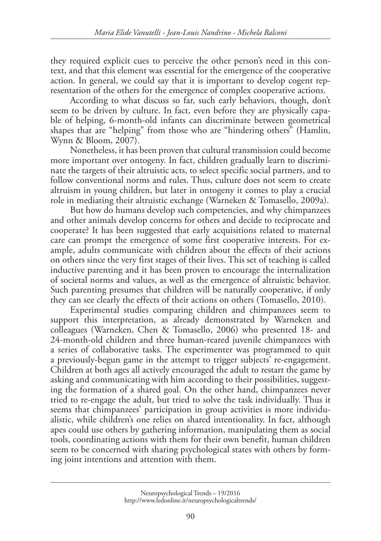they required explicit cues to perceive the other person's need in this context, and that this element was essential for the emergence of the cooperative action. In general, we could say that it is important to develop cogent representation of the others for the emergence of complex cooperative actions.

According to what discuss so far, such early behaviors, though, don't seem to be driven by culture. In fact, even before they are physically capable of helping, 6-month-old infants can discriminate between geometrical shapes that are "helping" from those who are "hindering others" (Hamlin, Wynn & Bloom, 2007).

Nonetheless, it has been proven that cultural transmission could become more important over ontogeny. In fact, children gradually learn to discriminate the targets of their altruistic acts, to select specific social partners, and to follow conventional norms and rules. Thus, culture does not seem to create altruism in young children, but later in ontogeny it comes to play a crucial role in mediating their altruistic exchange (Warneken & Tomasello, 2009a).

But how do humans develop such competencies, and why chimpanzees and other animals develop concerns for others and decide to reciprocate and cooperate? It has been suggested that early acquisitions related to maternal care can prompt the emergence of some first cooperative interests. For example, adults communicate with children about the effects of their actions on others since the very first stages of their lives. This set of teaching is called inductive parenting and it has been proven to encourage the internalization of societal norms and values, as well as the emergence of altruistic behavior. Such parenting presumes that children will be naturally cooperative, if only they can see clearly the effects of their actions on others (Tomasello, 2010).

Experimental studies comparing children and chimpanzees seem to support this interpretation, as already demonstrated by [Warneken](http://onlinelibrary.wiley.com/doi/10.1111/j.1467-7687.2007.00573.x/full#b30) and colleagues (Warneken, Chen & Tomasello, 2006) who presented 18- and 24-month-old children and three human-reared juvenile chimpanzees with a series of collaborative tasks. The experimenter was programmed to quit a previously-begun game in the attempt to trigger subjects' re-engagement. Children at both ages all actively encouraged the adult to restart the game by asking and communicating with him according to their possibilities, suggesting the formation of a shared goal. On the other hand, chimpanzees never tried to re-engage the adult, but tried to solve the task individually. Thus it seems that chimpanzees' participation in group activities is more individualistic, while children's one relies on shared intentionality. In fact, although apes could use others by gathering information, manipulating them as social tools, coordinating actions with them for their own benefit, human children seem to be concerned with sharing psychological states with others by forming joint intentions and attention with them.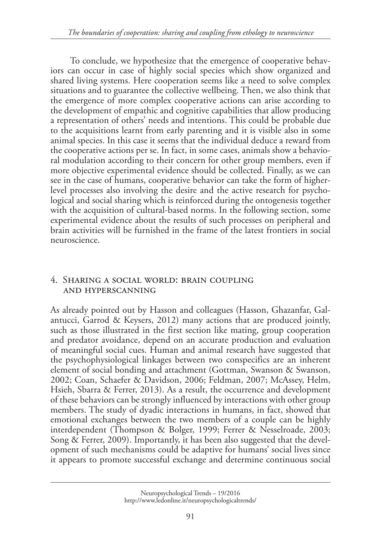To conclude, we hypothesize that the emergence of cooperative behaviors can occur in case of highly social species which show organized and shared living systems. Here cooperation seems like a need to solve complex situations and to guarantee the collective wellbeing. Then, we also think that the emergence of more complex cooperative actions can arise according to the development of empathic and cognitive capabilities that allow producing a representation of others' needs and intentions. This could be probable due to the acquisitions learnt from early parenting and it is visible also in some animal species. In this case it seems that the individual deduce a reward from the cooperative actions per se. In fact, in some cases, animals show a behavioral modulation according to their concern for other group members, even if more objective experimental evidence should be collected. Finally, as we can see in the case of humans, cooperative behavior can take the form of higherlevel processes also involving the desire and the active research for psychological and social sharing which is reinforced during the ontogenesis together with the acquisition of cultural-based norms. In the following section, some experimental evidence about the results of such processes on peripheral and brain activities will be furnished in the frame of the latest frontiers in social neuroscience.

### 4. Sharing a social world: brain coupling and hyperscanning

As already pointed out by Hasson and colleagues (Hasson, Ghazanfar, Galantucci, Garrod & Keysers, 2012) many actions that are produced jointly, such as those illustrated in the first section like mating, group cooperation and predator avoidance, depend on an accurate production and evaluation of meaningful social cues. Human and animal research have suggested that the psychophysiological linkages between two conspecifics are an inherent element of social bonding and attachment (Gottman, Swanson & Swanson, 2002; Coan, Schaefer & Davidson, 2006; Feldman, 2007; McAssey, Helm, Hsieh, Sbarra & Ferrer, 2013). As a result, the occurrence and development of these behaviors can be strongly influenced by interactions with other group members. The study of dyadic interactions in humans, in fact, showed that emotional exchanges between the two members of a couple can be highly interdependent (Thompson & Bolger, 1999; Ferrer & Nesselroade, 2003; Song & Ferrer, 2009). Importantly, it has been also suggested that the development of such mechanisms could be adaptive for humans' social lives since it appears to promote successful exchange and determine continuous social

Neuropsychological Trends – 19/2016 [http://www.ledonline.it/neuropsychologicaltrends/](http://www.ledonline.it/NeuropsychologicalTrends/19-2016.html)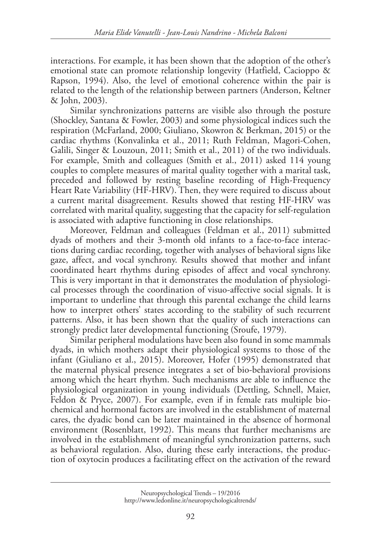interactions. For example, it has been shown that the adoption of the other's emotional state can promote relationship longevity (Hatfield, Cacioppo & Rapson, 1994). Also, the level of emotional coherence within the pair is related to the length of the relationship between partners (Anderson, Keltner & John, 2003).

Similar synchronizations patterns are visible also through the posture (Shockley, Santana & Fowler, 2003) and some physiological indices such the respiration (McFarland, 2000; Giuliano, Skowron & Berkman, 2015) or the cardiac rhythms (Konvalinka et al., 2011; Ruth Feldman, Magori-Cohen, Galili, Singer & Louzoun, 2011; Smith et al., 2011) of the two individuals. For example, Smith and colleagues (Smith et al., 2011) asked 114 young couples to complete measures of marital quality together with a marital task, preceded and followed by resting baseline recording of High-Frequency Heart Rate Variability (HF-HRV). Then, they were required to discuss about a current marital disagreement. Results showed that resting HF-HRV was correlated with marital quality, suggesting that the capacity for self-regulation is associated with adaptive functioning in close relationships.

Moreover, Feldman and colleagues (Feldman et al., 2011) submitted dyads of mothers and their 3-month old infants to a face-to-face interactions during cardiac recording, together with analyses of behavioral signs like gaze, affect, and vocal synchrony. Results showed that mother and infant coordinated heart rhythms during episodes of affect and vocal synchrony. This is very important in that it demonstrates the modulation of physiological processes through the coordination of visuo-affective social signals. It is important to underline that through this parental exchange the child learns how to interpret others' states according to the stability of such recurrent patterns. Also, it has been shown that the quality of such interactions can strongly predict later developmental functioning (Sroufe, 1979).

Similar peripheral modulations have been also found in some mammals dyads, in which mothers adapt their physiological systems to those of the infant (Giuliano et al., 2015). Moreover, Hofer (1995) demonstrated that the maternal physical presence integrates a set of bio-behavioral provisions among which the heart rhythm. Such mechanisms are able to influence the physiological organization in young individuals (Dettling, Schnell, Maier, Feldon & Pryce, 2007). For example, even if in female rats multiple biochemical and hormonal factors are involved in the establishment of maternal cares, the dyadic bond can be later maintained in the absence of hormonal environment (Rosenblatt, 1992). This means that further mechanisms are involved in the establishment of meaningful synchronization patterns, such as behavioral regulation. Also, during these early interactions, the production of oxytocin produces a facilitating effect on the activation of the reward

Neuropsychological Trends – 19/2016 [http://www.ledonline.it/neuropsychologicaltrends/](http://www.ledonline.it/NeuropsychologicalTrends/19-2016.html)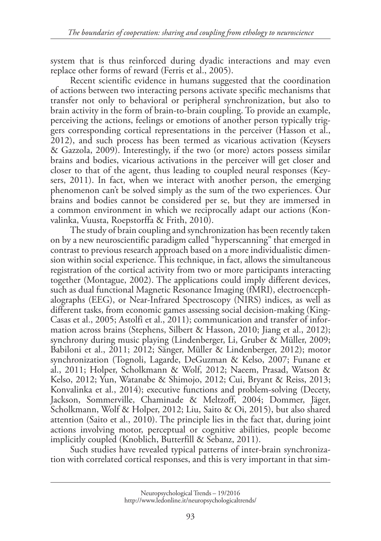system that is thus reinforced during dyadic interactions and may even replace other forms of reward (Ferris et al., 2005).

Recent scientific evidence in humans suggested that the coordination of actions between two interacting persons activate specific mechanisms that transfer not only to behavioral or peripheral synchronization, but also to brain activity in the form of brain-to-brain coupling. To provide an example, perceiving the actions, feelings or emotions of another person typically triggers corresponding cortical representations in the perceiver (Hasson et al., 2012), and such process has been termed as vicarious activation (Keysers & Gazzola, 2009). Interestingly, if the two (or more) actors possess similar brains and bodies, vicarious activations in the perceiver will get closer and closer to that of the agent, thus leading to coupled neural responses (Keysers, 2011). In fact, when we interact with another person, the emerging phenomenon can't be solved simply as the sum of the two experiences. Our brains and bodies cannot be considered per se, but they are immersed in a common environment in which we reciprocally adapt our actions (Konvalinka, Vuusta, Roepstorffa & Frith, 2010).

The study of brain coupling and synchronization has been recently taken on by a new neuroscientific paradigm called "hyperscanning" that emerged in contrast to previous research approach based on a more individualistic dimension within social experience. This technique, in fact, allows the simultaneous registration of the cortical activity from two or more participants interacting together (Montague, 2002). The applications could imply different devices, such as dual functional Magnetic Resonance Imaging (fMRI), electroencephalographs (EEG), or Near-Infrared Spectroscopy (NIRS) indices, as well as different tasks, from economic games assessing social decision-making (King-Casas et al., 2005; Astolfi et al., 2011); communication and transfer of information across brains (Stephens, Silbert & Hasson, 2010; Jiang et al., 2012); synchrony during music playing (Lindenberger, Li, Gruber & Müller, 2009; Babiloni et al., 2011; 2012; Sänger, Müller & Lindenberger, 2012); motor synchronization (Tognoli, Lagarde, DeGuzman & Kelso, 2007; Funane et al., 2011; Holper, Scholkmann & Wolf, 2012; Naeem, Prasad, Watson & Kelso, 2012; Yun, Watanabe & Shimojo, 2012; Cui, Bryant & Reiss, 2013; Konvalinka et al., 2014); executive functions and problem-solving (Decety, Jackson, Sommerville, Chaminade & Meltzoff, 2004; Dommer, Jäger, Scholkmann, Wolf & Holper, 2012; Liu, Saito & Oi, 2015), but also shared attention (Saito et al., 2010). The principle lies in the fact that, during joint actions involving motor, perceptual or cognitive abilities, people become implicitly coupled (Knoblich, Butterfill & Sebanz, 2011).

Such studies have revealed typical patterns of inter-brain synchronization with correlated cortical responses, and this is very important in that sim-

Neuropsychological Trends – 19/2016 [http://www.ledonline.it/neuropsychologicaltrends/](http://www.ledonline.it/NeuropsychologicalTrends/19-2016.html)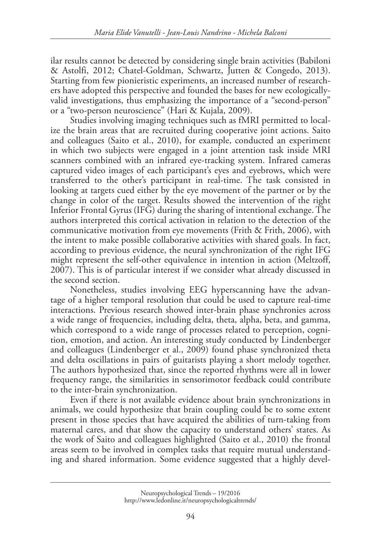ilar results cannot be detected by considering single brain activities (Babiloni & Astolfi, 2012; Chatel-Goldman, Schwartz, Jutten & Congedo, 2013). Starting from few pionieristic experiments, an increased number of researchers have adopted this perspective and founded the bases for new ecologicallyvalid investigations, thus emphasizing the importance of a "second-person" or a "two-person neuroscience" (Hari & Kujala, 2009).

Studies involving imaging techniques such as fMRI permitted to localize the brain areas that are recruited during cooperative joint actions. Saito and colleagues (Saito et al., 2010), for example, conducted an experiment in which two subjects were engaged in a joint attention task inside MRI scanners combined with an infrared eye-tracking system. Infrared cameras captured video images of each participant's eyes and eyebrows, which were transferred to the other's participant in real-time. The task consisted in looking at targets cued either by the eye movement of the partner or by the change in color of the target. Results showed the intervention of the right Inferior Frontal Gyrus (IFG) during the sharing of intentional exchange. The authors interpreted this cortical activation in relation to the detection of the communicative motivation from eye movements (Frith & Frith, 2006), with the intent to make possible collaborative activities with shared goals. In fact, according to previous evidence, the neural synchronization of the right IFG might represent the self-other equivalence in intention in action (Meltzoff, 2007). This is of particular interest if we consider what already discussed in the second section.

Nonetheless, studies involving EEG hyperscanning have the advantage of a higher temporal resolution that could be used to capture real-time interactions. Previous research showed inter-brain phase synchronies across a wide range of frequencies, including delta, theta, alpha, beta, and gamma, which correspond to a wide range of processes related to perception, cognition, emotion, and action. An interesting study conducted by Lindenberger and colleagues (Lindenberger et al., 2009) found phase synchronized theta and delta oscillations in pairs of guitarists playing a short melody together. The authors hypothesized that, since the reported rhythms were all in lower frequency range, the similarities in sensorimotor feedback could contribute to the inter-brain synchronization.

Even if there is not available evidence about brain synchronizations in animals, we could hypothesize that brain coupling could be to some extent present in those species that have acquired the abilities of turn-taking from maternal cares, and that show the capacity to understand others' states. As the work of Saito and colleagues highlighted (Saito et al., 2010) the frontal areas seem to be involved in complex tasks that require mutual understanding and shared information. Some evidence suggested that a highly devel-

Neuropsychological Trends – 19/2016 [http://www.ledonline.it/neuropsychologicaltrends/](http://www.ledonline.it/NeuropsychologicalTrends/19-2016.html)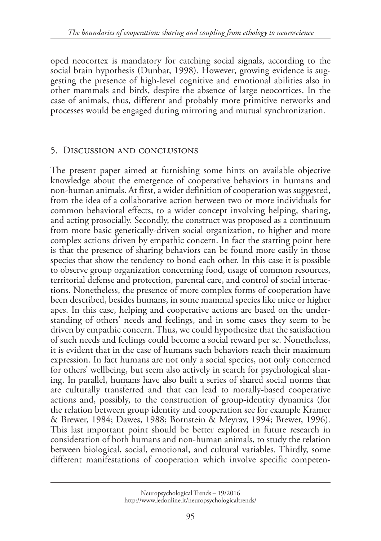oped neocortex is mandatory for catching social signals, according to the social brain hypothesis (Dunbar, 1998). However, growing evidence is suggesting the presence of high-level cognitive and emotional abilities also in other mammals and birds, despite the absence of large neocortices. In the case of animals, thus, different and probably more primitive networks and processes would be engaged during mirroring and mutual synchronization.

# 5. Discussion and conclusions

The present paper aimed at furnishing some hints on available objective knowledge about the emergence of cooperative behaviors in humans and non-human animals. At first, a wider definition of cooperation was suggested, from the idea of a collaborative action between two or more individuals for common behavioral effects, to a wider concept involving helping, sharing, and acting prosocially. Secondly, the construct was proposed as a continuum from more basic genetically-driven social organization, to higher and more complex actions driven by empathic concern. In fact the starting point here is that the presence of sharing behaviors can be found more easily in those species that show the tendency to bond each other. In this case it is possible to observe group organization concerning food, usage of common resources, territorial defense and protection, parental care, and control of social interactions. Nonetheless, the presence of more complex forms of cooperation have been described, besides humans, in some mammal species like mice or higher apes. In this case, helping and cooperative actions are based on the understanding of others' needs and feelings, and in some cases they seem to be driven by empathic concern. Thus, we could hypothesize that the satisfaction of such needs and feelings could become a social reward per se. Nonetheless, it is evident that in the case of humans such behaviors reach their maximum expression. In fact humans are not only a social species, not only concerned for others' wellbeing, but seem also actively in search for psychological sharing. In parallel, humans have also built a series of shared social norms that are culturally transferred and that can lead to morally-based cooperative actions and, possibly, to the construction of group-identity dynamics (for the relation between group identity and cooperation see for example Kramer & Brewer, 1984; Dawes, 1988; Bornstein & Meyrav, 1994; Brewer, 1996). This last important point should be better explored in future research in consideration of both humans and non-human animals, to study the relation between biological, social, emotional, and cultural variables. Thirdly, some different manifestations of cooperation which involve specific competen-

Neuropsychological Trends – 19/2016 [http://www.ledonline.it/neuropsychologicaltrends/](http://www.ledonline.it/NeuropsychologicalTrends/19-2016.html)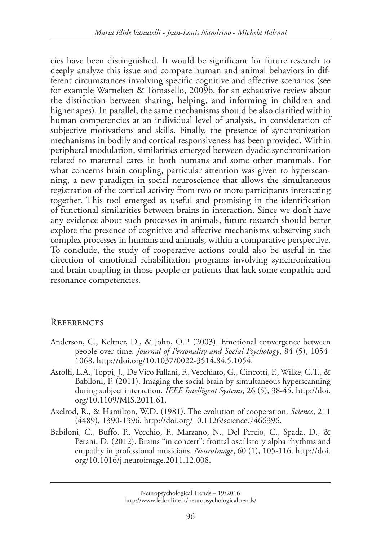cies have been distinguished. It would be significant for future research to deeply analyze this issue and compare human and animal behaviors in different circumstances involving specific cognitive and affective scenarios (see for example Warneken & Tomasello, 2009b, for an exhaustive review about the distinction between sharing, helping, and informing in children and higher apes). In parallel, the same mechanisms should be also clarified within human competencies at an individual level of analysis, in consideration of subjective motivations and skills. Finally, the presence of synchronization mechanisms in bodily and cortical responsiveness has been provided. Within peripheral modulation, similarities emerged between dyadic synchronization related to maternal cares in both humans and some other mammals. For what concerns brain coupling, particular attention was given to hyperscanning, a new paradigm in social neuroscience that allows the simultaneous registration of the cortical activity from two or more participants interacting together. This tool emerged as useful and promising in the identification of functional similarities between brains in interaction. Since we don't have any evidence about such processes in animals, future research should better explore the presence of cognitive and affective mechanisms subserving such complex processes in humans and animals, within a comparative perspective. To conclude, the study of cooperative actions could also be useful in the direction of emotional rehabilitation programs involving synchronization and brain coupling in those people or patients that lack some empathic and resonance competencies.

# **REFERENCES**

- Anderson, C., Keltner, D., & John, O.P. (2003). Emotional convergence between people over time. *Journal of Personality and Social Psychology*, 84 (5), 1054- 1068. http://doi.org/10.1037/0022-3514.84.5.1054.
- Astolfi, L.A., Toppi, J., De Vico Fallani, F., Vecchiato, G., Cincotti, F., Wilke, C.T., & Babiloni, F. (2011). Imaging the social brain by simultaneous hyperscanning during subject interaction. *IEEE Intelligent Systems*, 26 (5), 38-45. http://doi. org/10.1109/MIS.2011.61.
- Axelrod, R., & Hamilton, W.D. (1981). The evolution of cooperation. *Science*, 211 (4489), 1390-1396. http://doi.org/10.1126/science.7466396.
- Babiloni, C., Buffo, P., Vecchio, F., Marzano, N., Del Percio, C., Spada, D., & Perani, D. (2012). Brains "in concert": frontal oscillatory alpha rhythms and empathy in professional musicians. *NeuroImage*, 60 (1), 105-116. http://doi. org/10.1016/j.neuroimage.2011.12.008.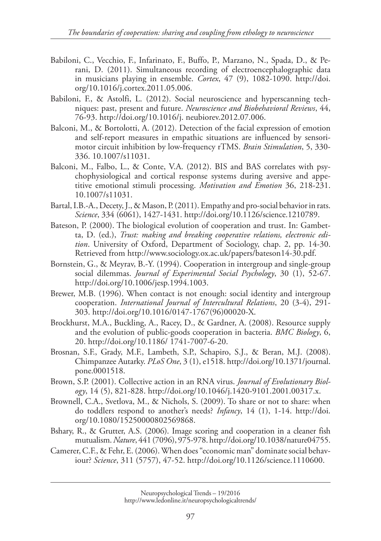- Babiloni, C., Vecchio, F., Infarinato, F., Buffo, P., Marzano, N., Spada, D., & Perani, D. (2011). Simultaneous recording of electroencephalographic data in musicians playing in ensemble. *Cortex*, 47 (9), 1082-1090. http://doi. org/10.1016/j.cortex.2011.05.006.
- Babiloni, F., & Astolfi, L. (2012). Social neuroscience and hyperscanning techniques: past, present and future. *Neuroscience and Biobehavioral Reviews*, 44, 76-93. http://doi.org/10.1016/j. neubiorev.2012.07.006.
- Balconi, M., & Bortolotti, A. (2012). Detection of the facial expression of emotion and self-report measures in empathic situations are influenced by sensorimotor circuit inhibition by low-frequency rTMS. *Brain Stimulation*, 5, 330- 336. 10.1007/s11031.
- Balconi, M., Falbo, L., & Conte, V.A. (2012). BIS and BAS correlates with psychophysiological and cortical response systems during aversive and appetitive emotional stimuli processing. *Motivation and Emotion* 36, 218-231. 10.1007/s11031.
- Bartal, I.B.-A., Decety, J., & Mason, P. (2011). Empathy and pro-social behavior in rats. *Science*, 334 (6061), 1427-1431. http://doi.org/10.1126/science.1210789.
- Bateson, P. (2000). The biological evolution of cooperation and trust. In: Gambetta, D. (ed.), *Trust: making and breaking cooperative relations, electronic edition*. University of Oxford, Department of Sociology, chap. 2, pp. 14-30. Retrieved from http://www.sociology.ox.ac.uk/papers/bateson14-30.pdf.
- Bornstein, G., & Meyrav, B.-Y. (1994). Cooperation in intergroup and single-group social dilemmas. *Journal of Experimental Social Psychology*, 30 (1), 52-67. http://doi.org/10.1006/jesp.1994.1003.
- Brewer, M.B. (1996). When contact is not enough: social identity and intergroup cooperation. *International Journal of Intercultural Relations*, 20 (3-4), 291- 303. http://doi.org/10.1016/0147-1767(96)00020-X.
- Brockhurst, M.A., Buckling, A., Racey, D., & Gardner, A. (2008). Resource supply and the evolution of public-goods cooperation in bacteria. *BMC Biology*, 6, 20. http://doi.org/10.1186/ 1741-7007-6-20.
- Brosnan, S.F., Grady, M.F., Lambeth, S.P., Schapiro, S.J., & Beran, M.J. (2008). Chimpanzee Autarky. *PLoS One*, 3 (1), e1518. http://doi.org/10.1371/journal. pone.0001518.
- Brown, S.P. (2001). Collective action in an RNA virus. *Journal of Evolutionary Biology*, 14 (5), 821-828. http://doi.org/10.1046/j.1420-9101.2001.00317.x.
- Brownell, C.A., Svetlova, M., & Nichols, S. (2009). To share or not to share: when do toddlers respond to another's needs? *Infancy*, 14 (1), 1-14. http://doi. org/10.1080/15250000802569868.
- Bshary, R., & Grutter, A.S. (2006). Image scoring and cooperation in a cleaner fish mutualism. *Nature*, 441 (7096), 975-978. http://doi.org/10.1038/nature04755.
- Camerer, C.F., & Fehr, E. (2006). When does "economic man" dominate social behaviour? *Science*, 311 (5757), 47-52. http://doi.org/10.1126/science.1110600.

Neuropsychological Trends – 19/2016 [http://www.ledonline.it/neuropsychologicaltrends/](http://www.ledonline.it/NeuropsychologicalTrends/19-2016.html)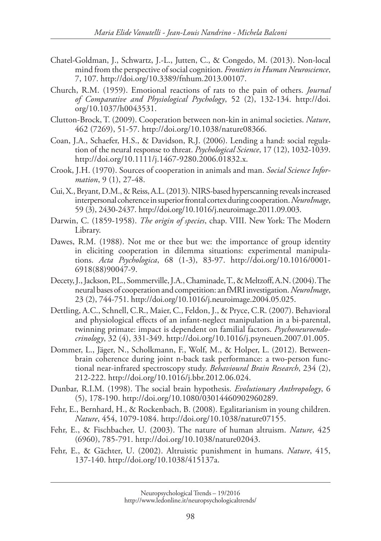- Chatel-Goldman, J., Schwartz, J.-L., Jutten, C., & Congedo, M. (2013). Non-local mind from the perspective of social cognition. *Frontiers in Human Neuroscience*, 7, 107. http://doi.org/10.3389/fnhum.2013.00107.
- Church, R.M. (1959). Emotional reactions of rats to the pain of others. *Journal of Comparative and Physiological Psychology*, 52 (2), 132-134. http://doi. org/10.1037/h0043531.
- Clutton-Brock, T. (2009). Cooperation between non-kin in animal societies. *Nature*, 462 (7269), 51-57. http://doi.org/10.1038/nature08366.
- Coan, J.A., Schaefer, H.S., & Davidson, R.J. (2006). Lending a hand: social regulation of the neural response to threat. *Psychological Science*, 17 (12), 1032-1039. http://doi.org/10.1111/j.1467-9280.2006.01832.x.
- Crook, J.H. (1970). Sources of cooperation in animals and man. *Social Science Information*, 9 (1), 27-48.
- Cui, X., Bryant, D.M., & Reiss, A.L. (2013). NIRS-based hyperscanning reveals increased interpersonal coherence in superior frontal cortex during cooperation. *NeuroImage*, 59 (3), 2430-2437. http://doi.org/10.1016/j.neuroimage.2011.09.003.
- Darwin, C. (1859-1958). *The origin of species*, chap. VIII. New York: The Modern Library.
- Dawes, R.M. (1988). Not me or thee but we: the importance of group identity in eliciting cooperation in dilemma situations: experimental manipulations. *Acta Psychologica*, 68 (1-3), 83-97. http://doi.org/10.1016/0001- 6918(88)90047-9.
- Decety, J., Jackson, P.L., Sommerville, J.A., Chaminade, T., & Meltzoff, A.N. (2004). The neural bases of cooperation and competition: an fMRI investigation. *NeuroImage*, 23 (2), 744-751. http://doi.org/10.1016/j.neuroimage.2004.05.025.
- Dettling, A.C., Schnell, C.R., Maier, C., Feldon, J., & Pryce, C.R. (2007). Behavioral and physiological effects of an infant-neglect manipulation in a bi-parental, twinning primate: impact is dependent on familial factors. *Psychoneuroendocrinology*, 32 (4), 331-349. http://doi.org/10.1016/j.psyneuen.2007.01.005.
- Dommer, L., Jäger, N., Scholkmann, F., Wolf, M., & Holper, L. (2012). Betweenbrain coherence during joint n-back task performance: a two-person functional near-infrared spectroscopy study. *Behavioural Brain Research*, 234 (2), 212-222. http://doi.org/10.1016/j.bbr.2012.06.024.
- Dunbar, R.I.M. (1998). The social brain hypothesis. *Evolutionary Anthropology*, 6 (5), 178-190. http://doi.org/10.1080/03014460902960289.
- Fehr, E., Bernhard, H., & Rockenbach, B. (2008). Egalitarianism in young children. *Nature*, 454, 1079-1084. http://doi.org/10.1038/nature07155.
- Fehr, E., & Fischbacher, U. (2003). The nature of human altruism. *Nature*, 425 (6960), 785-791. http://doi.org/10.1038/nature02043.
- Fehr, E., & Gächter, U. (2002). Altruistic punishment in humans. *Nature*, 415, 137-140. http://doi.org/10.1038/415137a.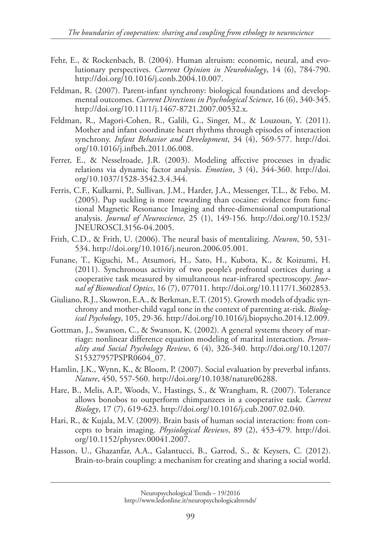- Fehr, E., & Rockenbach, B. (2004). Human altruism: economic, neural, and evolutionary perspectives. *Current Opinion in Neurobiology*, 14 (6), 784-790. http://doi.org/10.1016/j.conb.2004.10.007.
- Feldman, R. (2007). Parent-infant synchrony: biological foundations and developmental outcomes. *Current Directions in Psychological Science*, 16 (6), 340-345. http://doi.org/10.1111/j.1467-8721.2007.00532.x.
- Feldman, R., Magori-Cohen, R., Galili, G., Singer, M., & Louzoun, Y. (2011). Mother and infant coordinate heart rhythms through episodes of interaction synchrony. *Infant Behavior and Development*, 34 (4), 569-577. http://doi. org/10.1016/j.infbeh.2011.06.008.
- Ferrer, E., & Nesselroade, J.R. (2003). Modeling affective processes in dyadic relations via dynamic factor analysis. *Emotion*, 3 (4), 344-360. http://doi. org/10.1037/1528-3542.3.4.344.
- Ferris, C.F., Kulkarni, P., Sullivan, J.M., Harder, J.A., Messenger, T.L., & Febo, M. (2005). Pup suckling is more rewarding than cocaine: evidence from functional Magnetic Resonance Imaging and three-dimensional computational analysis. *Journal of Neuroscience*, 25 (1), 149-156. http://doi.org/10.1523/ JNEUROSCI.3156-04.2005.
- Frith, C.D., & Frith, U. (2006). The neural basis of mentalizing. *Neuron*, 50, 531- 534. http://doi.org/10.1016/j.neuron.2006.05.001.
- Funane, T., Kiguchi, M., Atsumori, H., Sato, H., Kubota, K., & Koizumi, H. (2011). Synchronous activity of two people's prefrontal cortices during a cooperative task measured by simultaneous near-infrared spectroscopy. *Journal of Biomedical Optics*, 16 (7), 077011. http://doi.org/10.1117/1.3602853.
- Giuliano, R.J., Skowron, E.A., & Berkman, E.T. (2015). Growth models of dyadic synchrony and mother-child vagal tone in the context of parenting at-risk. *Biological Psychology*, 105, 29-36. http://doi.org/10.1016/j.biopsycho.2014.12.009.
- Gottman, J., Swanson, C., & Swanson, K. (2002). A general systems theory of marriage: nonlinear difference equation modeling of marital interaction. *Personality and Social Psychology Review*, 6 (4), 326-340. http://doi.org/10.1207/ S15327957PSPR0604\_07.
- Hamlin, J.K., Wynn, K., & Bloom, P. (2007). Social evaluation by preverbal infants. *Nature*, 450, 557-560. http://doi.org/10.1038/nature06288.
- Hare, B., Melis, A.P., Woods, V., Hastings, S., & Wrangham, R. (2007). Tolerance allows bonobos to outperform chimpanzees in a cooperative task. *Current Biology*, 17 (7), 619-623. http://doi.org/10.1016/j.cub.2007.02.040.
- Hari, R., & Kujala, M.V. (2009). Brain basis of human social interaction: from concepts to brain imaging. *Physiological Reviews*, 89 (2), 453-479. http://doi. org/10.1152/physrev.00041.2007.
- Hasson, U., Ghazanfar, A.A., Galantucci, B., Garrod, S., & Keysers, C. (2012). Brain-to-brain coupling: a mechanism for creating and sharing a social world.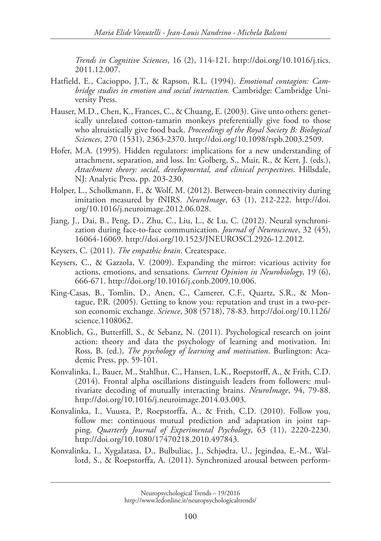*Trends in Cognitive Sciences*, 16 (2), 114-121. http://doi.org/10.1016/j.tics. 2011.12.007.

- Hatfield, E., Cacioppo, J.T., & Rapson, R.L. (1994). *Emotional contagion: Cambridge studies in emotion and social interaction.* Cambridge: Cambridge University Press.
- Hauser, M.D., Chen, K., Frances, C., & Chuang, E. (2003). Give unto others: genetically unrelated cotton-tamarin monkeys preferentially give food to those who altruistically give food back. *Proceedings of the Royal Society B: Biological Sciences*, 270 (1531), 2363-2370. http://doi.org/10.1098/rspb.2003.2509.
- Hofer, M.A. (1995). Hidden regulators: implications for a new understanding of attachment, separation, and loss. In: Golberg, S., Muir, R., & Kerr, J. (eds.), *Attachment theory: social, developmental, and clinical perspectives*. Hillsdale, NJ: Analytic Press, pp. 203-230.
- Holper, L., Scholkmann, F., & Wolf, M. (2012). Between-brain connectivity during imitation measured by fNIRS. *NeuroImage*, 63 (1), 212-222. http://doi. org/10.1016/j.neuroimage.2012.06.028.
- Jiang, J., Dai, B., Peng, D., Zhu, C., Liu, L., & Lu, C. (2012). Neural synchronization during face-to-face communication. *Journal of Neuroscience*, 32 (45), 16064-16069. http://doi.org/10.1523/JNEUROSCI.2926-12.2012.
- Keysers, C. (2011). *The empathic brain*. Createspace.
- Keysers, C., & Gazzola, V. (2009). Expanding the mirror: vicarious activity for actions, emotions, and sensations. *Current Opinion in Neurobiology*, 19 (6), 666-671. http://doi.org/10.1016/j.conb.2009.10.006.
- King-Casas, B., Tomlin, D., Anen, C., Camerer, C.F., Quartz, S.R., & Montague, P.R. (2005). Getting to know you: reputation and trust in a two-person economic exchange. *Science*, 308 (5718), 78-83. http://doi.org/10.1126/ science.1108062.
- Knoblich, G., Butterfill, S., & Sebanz, N. (2011). Psychological research on joint action: theory and data the psychology of learning and motivation. In: Ross, B. (ed.), *The psychology of learning and motivation*. Burlington: Academic Press, pp. 59-101.
- Konvalinka, I., Bauer, M., Stahlhut, C., Hansen, L.K., Roepstorff, A., & Frith, C.D. (2014). Frontal alpha oscillations distinguish leaders from followers: multivariate decoding of mutually interacting brains. *NeuroImage*, 94, 79-88. http://doi.org/10.1016/j.neuroimage.2014.03.003.
- Konvalinka, I., Vuusta, P., Roepstorffa, A., & Frith, C.D. (2010). Follow you, follow me: continuous mutual prediction and adaptation in joint tapping. *Quarterly Journal of Experimental Psychology*, 63 (11), 2220-2230. http://doi.org/10.1080/17470218.2010.497843.
- Konvalinka, I., Xygalatasa, D., Bulbuliac, J., Schjødta, U., Jegindøa, E.-M., Wallotd, S., & Roepstorffa, A. (2011). Synchronized arousal between perform-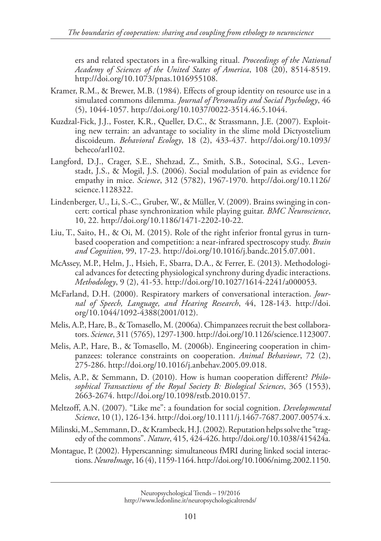ers and related spectators in a fire-walking ritual. *Proceedings of the National Academy of Sciences of the United States of America*, 108 (20), 8514-8519. http://doi.org/10.1073/pnas.1016955108.

- Kramer, R.M., & Brewer, M.B. (1984). Effects of group identity on resource use in a simulated commons dilemma. *Journal of Personality and Social Psychology*, 46 (5), 1044-1057. http://doi.org/10.1037/0022-3514.46.5.1044.
- Kuzdzal-Fick, J.J., Foster, K.R., Queller, D.C., & Strassmann, J.E. (2007). Exploiting new terrain: an advantage to sociality in the slime mold Dictyostelium discoideum. *Behavioral Ecology*, 18 (2), 433-437. http://doi.org/10.1093/ beheco/arl102.
- Langford, D.J., Crager, S.E., Shehzad, Z., Smith, S.B., Sotocinal, S.G., Levenstadt, J.S., & Mogil, J.S. (2006). Social modulation of pain as evidence for empathy in mice. *Science*, 312 (5782), 1967-1970. http://doi.org/10.1126/ science.1128322.
- Lindenberger, U., Li, S.-C., Gruber, W., & Müller, V. (2009). Brains swinging in concert: cortical phase synchronization while playing guitar. *BMC Neuroscience*, 10, 22. http://doi.org/10.1186/1471-2202-10-22.
- Liu, T., Saito, H., & Oi, M. (2015). Role of the right inferior frontal gyrus in turnbased cooperation and competition: a near-infrared spectroscopy study. *Brain and Cognition*, 99, 17-23. http://doi.org/10.1016/j.bandc.2015.07.001.
- McAssey, M.P., Helm, J., Hsieh, F., Sbarra, D.A., & Ferrer, E. (2013). Methodological advances for detecting physiological synchrony during dyadic interactions. *Methodology*, 9 (2), 41-53. http://doi.org/10.1027/1614-2241/a000053.
- McFarland, D.H. (2000). Respiratory markers of conversational interaction. *Journal of Speech, Language, and Hearing Research*, 44, 128-143. http://doi. org/10.1044/1092-4388(2001/012).
- Melis, A.P., Hare, B., & Tomasello, M. (2006a). Chimpanzees recruit the best collaborators. *Science*, 311 (5765), 1297-1300. http://doi.org/10.1126/science.1123007.
- Melis, A.P., Hare, B., & Tomasello, M. (2006b). Engineering cooperation in chimpanzees: tolerance constraints on cooperation. *Animal Behaviour*, 72 (2), 275-286. http://doi.org/10.1016/j.anbehav.2005.09.018.
- Melis, A.P., & Semmann, D. (2010). How is human cooperation different? *Philosophical Transactions of the Royal Society B: Biological Sciences*, 365 (1553), 2663-2674. http://doi.org/10.1098/rstb.2010.0157.
- Meltzoff, A.N. (2007). "Like me": a foundation for social cognition. *Developmental Science*, 10 (1), 126-134. http://doi.org/10.1111/j.1467-7687.2007.00574.x.
- Milinski, M., Semmann, D., & Krambeck, H.J. (2002). Reputation helps solve the "tragedy of the commons". *Nature*, 415, 424-426. http://doi.org/10.1038/415424a.
- Montague, P. (2002). Hyperscanning: simultaneous fMRI during linked social interactions. *NeuroImage*, 16 (4), 1159-1164. http://doi.org/10.1006/nimg.2002.1150.

Neuropsychological Trends – 19/2016 [http://www.ledonline.it/neuropsychologicaltrends/](http://www.ledonline.it/NeuropsychologicalTrends/19-2016.html)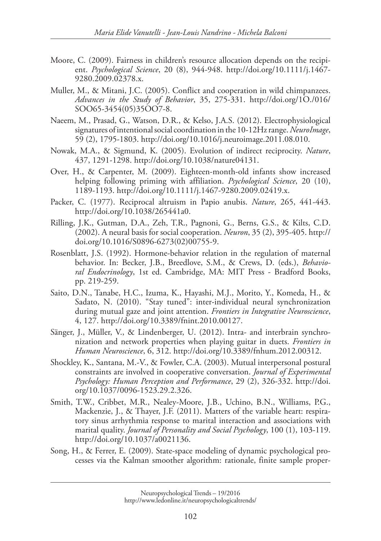- Moore, C. (2009). Fairness in children's resource allocation depends on the recipient. *Psychological Science*, 20 (8), 944-948. http://doi.org/10.1111/j.1467- 9280.2009.02378.x.
- Muller, M., & Mitani, J.C. (2005). Conflict and cooperation in wild chimpanzees. *Advances in the Study of Behavior*, 35, 275-331. http://doi.org/1O./016/ SOO65-3454(05)35OO7-8.
- Naeem, M., Prasad, G., Watson, D.R., & Kelso, J.A.S. (2012). Electrophysiological signatures of intentional social coordination in the 10-12Hz range. *NeuroImage*, 59 (2), 1795-1803. http://doi.org/10.1016/j.neuroimage.2011.08.010.
- Nowak, M.A., & Sigmund, K. (2005). Evolution of indirect reciprocity. *Nature*, 437, 1291-1298. http://doi.org/10.1038/nature04131.
- Over, H., & Carpenter, M. (2009). Eighteen-month-old infants show increased helping following priming with affiliation. *Psychological Science*, 20 (10), 1189-1193. http://doi.org/10.1111/j.1467-9280.2009.02419.x.
- Packer, C. (1977). Reciprocal altruism in Papio anubis. *Nature*, 265, 441-443. http://doi.org/10.1038/265441a0.
- Rilling, J.K., Gutman, D.A., Zeh, T.R., Pagnoni, G., Berns, G.S., & Kilts, C.D. (2002). A neural basis for social cooperation. *Neuron*, 35 (2), 395-405. http:// doi.org/10.1016/S0896-6273(02)00755-9.
- Rosenblatt, J.S. (1992). Hormone-behavior relation in the regulation of maternal behavior. In: Becker, J.B., Breedlove, S.M., & Crews, D. (eds.), *Behavioral Endocrinology*, 1st ed. Cambridge, MA: MIT Press - Bradford Books, pp. 219-259.
- Saito, D.N., Tanabe, H.C., Izuma, K., Hayashi, M.J., Morito, Y., Komeda, H., & Sadato, N. (2010). "Stay tuned": inter-individual neural synchronization during mutual gaze and joint attention. *Frontiers in Integrative Neuroscience*, 4, 127. http://doi.org/10.3389/fnint.2010.00127.
- Sänger, J., Müller, V., & Lindenberger, U. (2012). Intra- and interbrain synchronization and network properties when playing guitar in duets. *Frontiers in Human Neuroscience*, 6, 312. http://doi.org/10.3389/fnhum.2012.00312.
- Shockley, K., Santana, M.-V., & Fowler, C.A. (2003). Mutual interpersonal postural constraints are involved in cooperative conversation. *Journal of Experimental Psychology: Human Perception and Performance*, 29 (2), 326-332. http://doi. org/10.1037/0096-1523.29.2.326.
- Smith, T.W., Cribbet, M.R., Nealey-Moore, J.B., Uchino, B.N., Williams, P.G., Mackenzie, J., & Thayer, J.F. (2011). Matters of the variable heart: respiratory sinus arrhythmia response to marital interaction and associations with marital quality. *Journal of Personality and Social Psychology*, 100 (1), 103-119. http://doi.org/10.1037/a0021136.
- Song, H., & Ferrer, E. (2009). State-space modeling of dynamic psychological processes via the Kalman smoother algorithm: rationale, finite sample proper-

Neuropsychological Trends – 19/2016 [http://www.ledonline.it/neuropsychologicaltrends/](http://www.ledonline.it/NeuropsychologicalTrends/19-2016.html)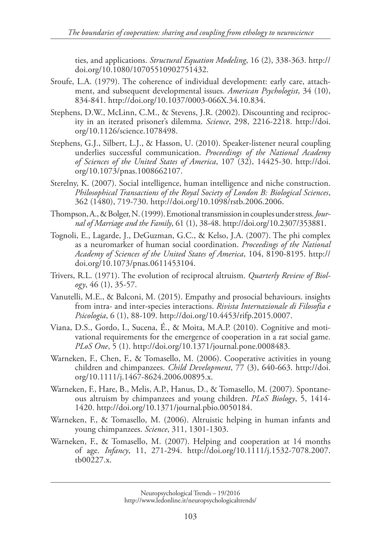ties, and applications. *Structural Equation Modeling*, 16 (2), 338-363. http:// doi.org/10.1080/10705510902751432.

- Sroufe, L.A. (1979). The coherence of individual development: early care, attachment, and subsequent developmental issues. *American Psychologist*, 34 (10), 834-841. http://doi.org/10.1037/0003-066X.34.10.834.
- Stephens, D.W., McLinn, C.M., & Stevens, J.R. (2002). Discounting and reciprocity in an iterated prisoner's dilemma. *Science*, 298, 2216-2218. http://doi. org/10.1126/science.1078498.
- Stephens, G.J., Silbert, L.J., & Hasson, U. (2010). Speaker-listener neural coupling underlies successful communication. *Proceedings of the National Academy of Sciences of the United States of America*, 107 (32), 14425-30. http://doi. org/10.1073/pnas.1008662107.
- Sterelny, K. (2007). Social intelligence, human intelligence and niche construction. *Philosophical Transactions of the Royal Society of London B: Biological Sciences*, 362 (1480), 719-730. http://doi.org/10.1098/rstb.2006.2006.
- Thompson, A., & Bolger, N. (1999). Emotional transmission in couples under stress. *Journal of Marriage and the Family*, 61 (1), 38-48. http://doi.org/10.2307/353881.
- Tognoli, E., Lagarde, J., DeGuzman, G.C., & Kelso, J.A. (2007). The phi complex as a neuromarker of human social coordination. *Proceedings of the National Academy of Sciences of the United States of America*, 104, 8190-8195. http:// doi.org/10.1073/pnas.0611453104.
- Trivers, R.L. (1971). The evolution of reciprocal altruism. *Quarterly Review of Biology*, 46 (1), 35-57.
- Vanutelli, M.E., & Balconi, M. (2015). Empathy and prosocial behaviours. insights from intra- and inter-species interactions. *Rivista Internazionale di Filosofia e Psicologia*, 6 (1), 88-109. http://doi.org/10.4453/rifp.2015.0007.
- Viana, D.S., Gordo, I., Sucena, É., & Moita, M.A.P. (2010). Cognitive and motivational requirements for the emergence of cooperation in a rat social game. *PLoS One*, 5 (1). http://doi.org/10.1371/journal.pone.0008483.
- Warneken, F., Chen, F., & Tomasello, M. (2006). Cooperative activities in young children and chimpanzees. *Child Development*, 77 (3), 640-663. http://doi. org/10.1111/j.1467-8624.2006.00895.x.
- Warneken, F., Hare, B., Melis, A.P., Hanus, D., & Tomasello, M. (2007). Spontaneous altruism by chimpanzees and young children. *PLoS Biology*, 5, 1414- 1420. http://doi.org/10.1371/journal.pbio.0050184.
- Warneken, F., & Tomasello, M. (2006). Altruistic helping in human infants and young chimpanzees. *Science*, 311, 1301-1303.
- Warneken, F., & Tomasello, M. (2007). Helping and cooperation at 14 months of age. *Infancy*, 11, 271-294. http://doi.org/10.1111/j.1532-7078.2007. tb00227.x.